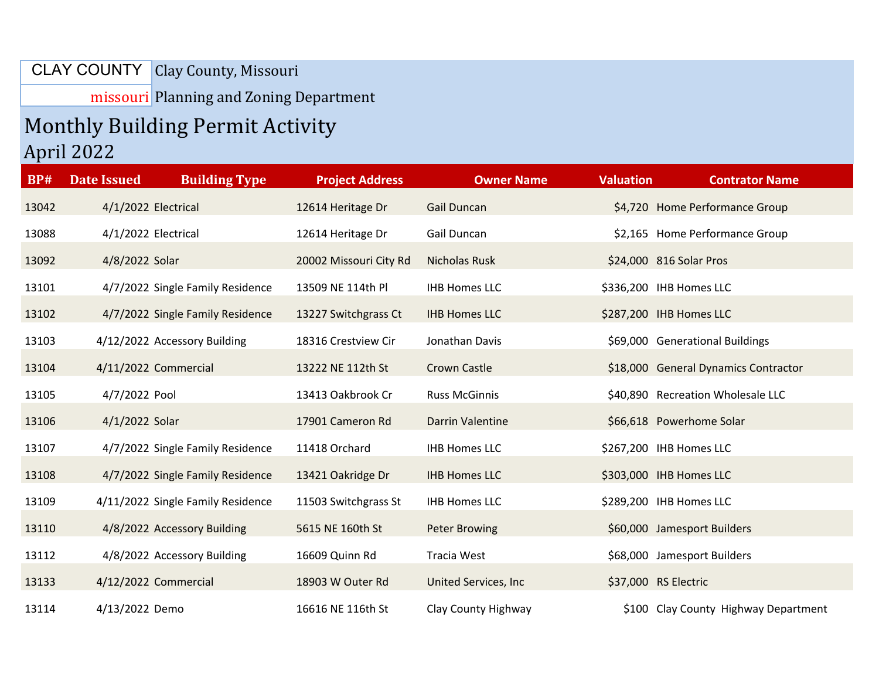## CLAY COUNTY | Clay County, Missouri

missouri Planning and Zoning Department

## Monthly Building Permit Activity April 2022

| <b>BP#</b> | <b>Date Issued</b>           | <b>Building Type</b>              | <b>Project Address</b> | <b>Owner Name</b>       | <b>Valuation</b> | <b>Contrator Name</b>                |
|------------|------------------------------|-----------------------------------|------------------------|-------------------------|------------------|--------------------------------------|
| 13042      | 4/1/2022 Electrical          |                                   | 12614 Heritage Dr      | <b>Gail Duncan</b>      |                  | \$4,720 Home Performance Group       |
| 13088      | 4/1/2022 Electrical          |                                   | 12614 Heritage Dr      | Gail Duncan             |                  | \$2,165 Home Performance Group       |
| 13092      | 4/8/2022 Solar               |                                   | 20002 Missouri City Rd | <b>Nicholas Rusk</b>    |                  | \$24,000 816 Solar Pros              |
| 13101      |                              | 4/7/2022 Single Family Residence  | 13509 NE 114th Pl      | <b>IHB Homes LLC</b>    |                  | \$336,200 IHB Homes LLC              |
| 13102      |                              | 4/7/2022 Single Family Residence  | 13227 Switchgrass Ct   | <b>IHB Homes LLC</b>    |                  | \$287,200 IHB Homes LLC              |
| 13103      | 4/12/2022 Accessory Building |                                   | 18316 Crestview Cir    | Jonathan Davis          |                  | \$69,000 Generational Buildings      |
| 13104      | 4/11/2022 Commercial         |                                   | 13222 NE 112th St      | <b>Crown Castle</b>     |                  | \$18,000 General Dynamics Contractor |
| 13105      | 4/7/2022 Pool                |                                   | 13413 Oakbrook Cr      | <b>Russ McGinnis</b>    |                  | \$40,890 Recreation Wholesale LLC    |
| 13106      | 4/1/2022 Solar               |                                   | 17901 Cameron Rd       | <b>Darrin Valentine</b> |                  | \$66,618 Powerhome Solar             |
| 13107      |                              | 4/7/2022 Single Family Residence  | 11418 Orchard          | <b>IHB Homes LLC</b>    |                  | \$267,200 IHB Homes LLC              |
| 13108      |                              | 4/7/2022 Single Family Residence  | 13421 Oakridge Dr      | <b>IHB Homes LLC</b>    |                  | \$303,000 IHB Homes LLC              |
| 13109      |                              | 4/11/2022 Single Family Residence | 11503 Switchgrass St   | <b>IHB Homes LLC</b>    |                  | \$289,200 IHB Homes LLC              |
| 13110      | 4/8/2022 Accessory Building  |                                   | 5615 NE 160th St       | <b>Peter Browing</b>    |                  | \$60,000 Jamesport Builders          |
| 13112      | 4/8/2022 Accessory Building  |                                   | 16609 Quinn Rd         | Tracia West             |                  | \$68,000 Jamesport Builders          |
| 13133      | 4/12/2022 Commercial         |                                   | 18903 W Outer Rd       | United Services, Inc.   |                  | \$37,000 RS Electric                 |
| 13114      | 4/13/2022 Demo               |                                   | 16616 NE 116th St      | Clay County Highway     |                  | \$100 Clay County Highway Department |